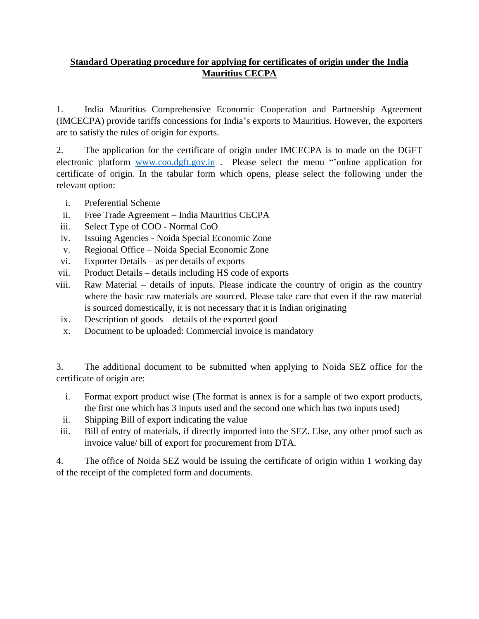## **Standard Operating procedure for applying for certificates of origin under the India Mauritius CECPA**

1. India Mauritius Comprehensive Economic Cooperation and Partnership Agreement (IMCECPA) provide tariffs concessions for India's exports to Mauritius. However, the exporters are to satisfy the rules of origin for exports.

2. The application for the certificate of origin under IMCECPA is to made on the DGFT electronic platform [www.coo.dgft.gov.in](http://www.coo.dgft.gov.in/) . Please select the menu "'online application for certificate of origin. In the tabular form which opens, please select the following under the relevant option:

- i. Preferential Scheme
- ii. Free Trade Agreement India Mauritius CECPA
- iii. Select Type of COO Normal CoO
- iv. Issuing Agencies Noida Special Economic Zone
- v. Regional Office Noida Special Economic Zone
- vi. Exporter Details as per details of exports
- vii. Product Details details including HS code of exports
- viii. Raw Material details of inputs. Please indicate the country of origin as the country where the basic raw materials are sourced. Please take care that even if the raw material is sourced domestically, it is not necessary that it is Indian originating
- ix. Description of goods details of the exported good
- x. Document to be uploaded: Commercial invoice is mandatory

3. The additional document to be submitted when applying to Noida SEZ office for the certificate of origin are:

- i. Format export product wise (The format is annex is for a sample of two export products, the first one which has 3 inputs used and the second one which has two inputs used)
- ii. Shipping Bill of export indicating the value
- iii. Bill of entry of materials, if directly imported into the SEZ. Else, any other proof such as invoice value/ bill of export for procurement from DTA.

4. The office of Noida SEZ would be issuing the certificate of origin within 1 working day of the receipt of the completed form and documents.